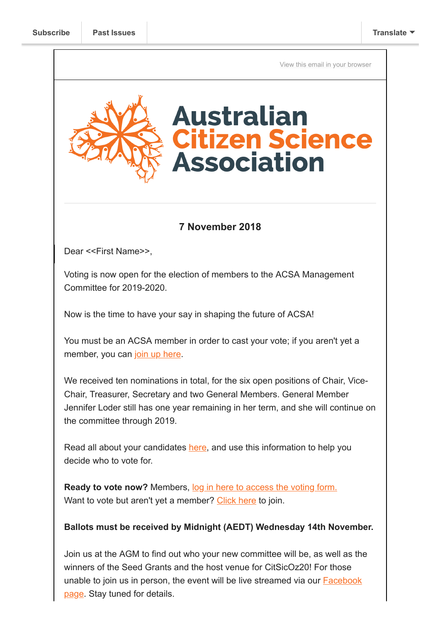[View this email in your browser](https://mailchi.mp/c0483cbbf0f5/acsa-agm-details-vote-for-your-next-management-committee-by-nov-14th?e=[UNIQID])



## **7 November 2018**

Dear <<First Name>>,

Voting is now open for the election of members to the ACSA Management Committee for 2019-2020.

Now is the time to have your say in shaping the future of ACSA!

You must be an ACSA member in order to cast your vote; if you aren't yet a member, you can [join up here.](https://citizenscience.org.au/join-now/)

We received ten nominations in total, for the six open positions of Chair, Vice-Chair, Treasurer, Secretary and two General Members. General Member Jennifer Loder still has one year remaining in her term, and she will continue on the committee through 2019.

Read all about your candidates [here,](https://citizenscience.org.au/wp-content/uploads/2018/11/Nominee-profiles-2018.pdf) and use this information to help you decide who to vote for.

**Ready to vote now?** Members, [log in here to access the voting form.](https://citizenscience.org.au/2018-acsa-annual-general-meeting-management-committee-voting-form/) Want to vote but aren't yet a member? [Click here](https://citizenscience.org.au/join-now/) to join.

## **Ballots must be received by Midnight (AEDT) Wednesday 14th November.**

Join us at the AGM to find out who your new committee will be, as well as the winners of the Seed Grants and the host venue for CitSicOz20! For those [unable to join us in person, the event will be live streamed via our Facebook](https://www.facebook.com/AustralianCitizenScienceAssociation/) page. Stay tuned for details.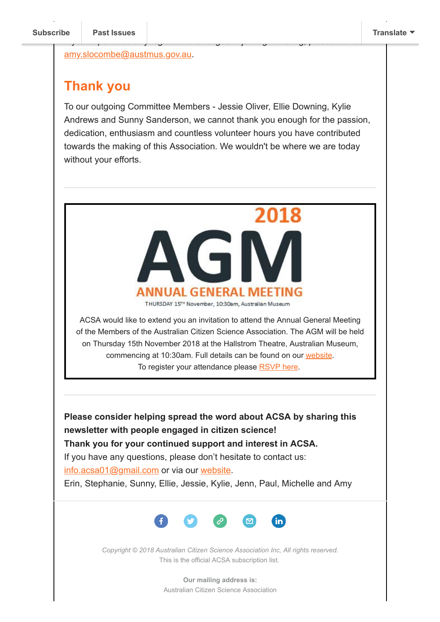[amy.slocombe@austmus.gov.au](mailto:amy.slocombe@austmus.gov.au).

## **Thank you**

To our outgoing Committee Members - Jessie Oliver, Ellie Downing, Kylie Andrews and Sunny Sanderson, we cannot thank you enough for the passion, dedication, enthusiasm and countless volunteer hours you have contributed towards the making of this Association. We wouldn't be where we are today without your efforts.

If yo[u experience any](https://us9.campaign-archive.com/home/?u=bf6c4fb11671f5919db89feda&id=40b221ed15) logistical challenges in joining or voting, please contact



ACSA would like to extend you an invitation to attend the Annual General Meeting of the Members of the Australian Citizen Science Association. The AGM will be held on Thursday 15th November 2018 at the Hallstrom Theatre, Australian Museum, commencing at 10:30am. Full details can be found on our [website](https://citizenscience.org.au/2018/10/12/notice-of-annual-general-meeting/). To register your attendance please [RSVP here](https://www.surveymonkey.com/r/V27YPYK).

**Please consider helping spread the word about ACSA by sharing this newsletter with people engaged in citizen science! Thank you for your continued support and interest in ACSA.** If you have any questions, please don't hesitate to contact us:

[info.acsa01@gmail.com](mailto:info.acsa01@gmail.com) or via our [website.](http://csna.gaiaresources.com.au/wordpress/contact-us/)

Erin, Stephanie, Sunny, Ellie, Jessie, Kylie, Jenn, Paul, Michelle and Amy



*Copyright © 2018 Australian Citizen Science Association Inc, All rights reserved.* This is the official ACSA subscription list.

> **Our mailing address is:** Australian Citizen Science Association